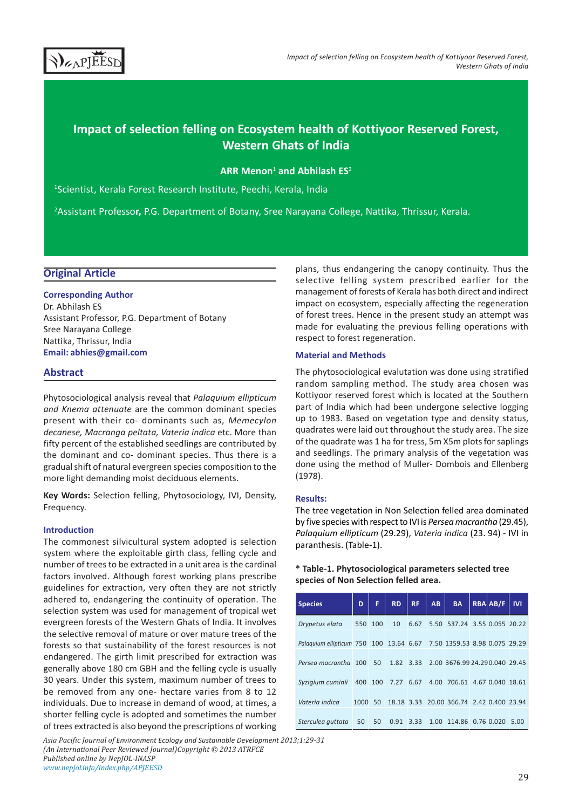

# Impact of selection felling on Ecosystem health of Kottiyoor Reserved Forest, Western Ghats of India

ARR Menon<sup>1</sup> and Abhilash ES<sup>2</sup>

<sup>1</sup>Scientist, Kerala Forest Research Institute, Peechi, Kerala, India

<sup>2</sup>Assistant Professor, P.G. Department of Botany, Sree Narayana College, Nattika, Thrissur, Kerala.

## Original Article

## Corresponding Author Dr. Abhilash ES Assistant Professor, P.G. Department of Botany Sree Narayana College Nattika, Thrissur, India

Email: abhies@gmail.com

## Abstract

Phytosociological analysis reveal that Palaquium ellipticum and Knema attenuate are the common dominant species present with their co- dominants such as, Memecylon decanese, Macranga peltata, Vateria indica etc. More than fifty percent of the established seedlings are contributed by the dominant and co- dominant species. Thus there is a gradual shift of natural evergreen species composition to the more light demanding moist deciduous elements.

Key Words: Selection felling, Phytosociology, IVI, Density, Frequency.

## Introduction

The commonest silvicultural system adopted is selection system where the exploitable girth class, felling cycle and number of trees to be extracted in a unit area is the cardinal factors involved. Although forest working plans prescribe guidelines for extraction, very often they are not strictly adhered to, endangering the continuity of operation. The selection system was used for management of tropical wet evergreen forests of the Western Ghats of India. It involves the selective removal of mature or over mature trees of the forests so that sustainability of the forest resources is not endangered. The girth limit prescribed for extraction was generally above 180 cm GBH and the felling cycle is usually 30 years. Under this system, maximum number of trees to be removed from any one- hectare varies from 8 to 12 individuals. Due to increase in demand of wood, at times, a shorter felling cycle is adopted and sometimes the number of trees extracted is also beyond the prescriptions of working

Asia Pacific Journal of Environment Ecology and Sustainable Development 2013;1:29-31 (An International Peer Reviewed Journal)Copyright © 2013 ATRFCE Published online by NepJOL-INASP www.nepjol.info/index.php/APJEESD

plans, thus endangering the canopy continuity. Thus the selective felling system prescribed earlier for the management of forests of Kerala has both direct and indirect impact on ecosystem, especially affecting the regeneration of forest trees. Hence in the present study an attempt was made for evaluating the previous felling operations with respect to forest regeneration.

#### Material and Methods

The phytosociological evalutation was done using stratified random sampling method. The study area chosen was Kottiyoor reserved forest which is located at the Southern part of India which had been undergone selective logging up to 1983. Based on vegetation type and density status, quadrates were laid out throughout the study area. The size of the quadrate was 1 ha for tress, 5m X5m plots for saplings and seedlings. The primary analysis of the vegetation was done using the method of Muller- Dombois and Ellenberg (1978).

## Results:

The tree vegetation in Non Selection felled area dominated by five species with respect to IVI is Persea macrantha (29.45), Palaquium ellipticum (29.29), Vateria indica (23. 94) - IVI in paranthesis. (Table-1).

## \* Table-1. Phytosociological parameters selected tree species of Non Selection felled area.

| <b>Species</b>                                                        | D       | F  | <b>RD</b> | RF.  | AB | <b>BA</b>                                  | <b>RBA AB/F</b> | <b>IVI</b> |
|-----------------------------------------------------------------------|---------|----|-----------|------|----|--------------------------------------------|-----------------|------------|
| Drypetus elata                                                        | 550 100 |    | 10        |      |    | 6.67 5.50 537.24 3.55 0.055 20.22          |                 |            |
| Palaguium ellipticum 750 100 13.64 6.67 7.50 1359.53 8.98 0.075 29.29 |         |    |           |      |    |                                            |                 |            |
| Persea macrantha 100                                                  |         |    |           |      |    | 50 1.82 3.33 2.00 3676.99 24.290.040 29.45 |                 |            |
| Syzigium cuminii                                                      | 400 100 |    |           |      |    | 7.27 6.67 4.00 706.61 4.67 0.040 18.61     |                 |            |
| Vateria indica                                                        | 1000    | 50 |           |      |    | 18.18 3.33 20.00 366.74 2.42 0.400 23.94   |                 |            |
| Sterculea guttata                                                     | 50      | 50 | 0.91      | 3.33 |    | 1.00 114.86 0.76 0.020                     |                 | 5.00       |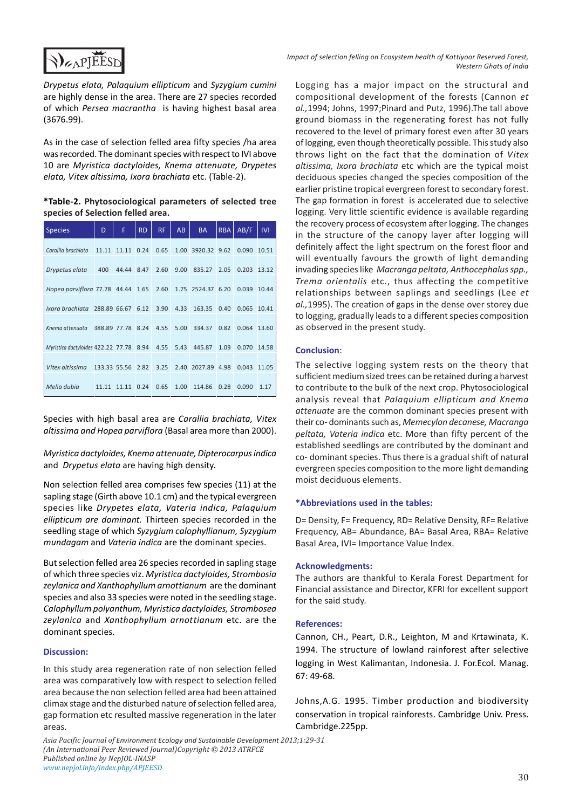

Impact of selection felling on Ecosystem health of Kottiyoor Reserved Forest, Western Ghats of India

Drypetus elata, Palaquium ellipticum and Syzygium cumini are highly dense in the area. There are 27 species recorded of which Persea macrantha is having highest basal area (3676.99).

As in the case of selection felled area fifty species /ha area was recorded. The dominant species with respect to IVI above 10 are Myristica dactyloides, Knema attenuate, Drypetes elata, Vitex altissima, Ixora brachiata etc. (Table-2).

\*Table-2. Phytosociological parameters of selected tree species of Selection felled area.

| <b>Species</b>                          | D            | F                 | <b>RD</b> | <b>RF</b> | AB   | <b>BA</b>         | <b>RBA</b> | AB/F  | IVI   |
|-----------------------------------------|--------------|-------------------|-----------|-----------|------|-------------------|------------|-------|-------|
| Carallia brachiata 11.11                |              | 11.11             | 0.24      | 0.65      |      | 1.00 3920.32 9.62 |            | 0.090 | 10.51 |
| Drypetus elata                          | 400          | 44.44 8.47        |           | 2.60      | 9.00 | 835.27            | 2.05       | 0.203 | 13.12 |
| Hopea parviflora 77.78 44.44 1.65       |              |                   |           | 2.60      |      | 1.75 2524.37 6.20 |            | 0.039 | 10.44 |
| Ixora brachiata                         |              | 288.89 66.67 6.12 |           | 3.90      | 4.33 | 163.35            | 0.40       | 0.065 | 10.41 |
|                                         |              |                   |           |           |      |                   |            |       |       |
| Knema attenuata                         | 388.89 77.78 |                   | 8.24      | 4.55      | 5.00 | 334.37            | 0.82       | 0.064 | 13.60 |
| Myristica dactyloides 422.22 77.78 8.94 |              |                   |           | 4.55      | 5.43 | 445.87            | 1.09       | 0.070 | 14.58 |
| Vitex altissima                         |              | 133.33 55.56 2.82 |           | 3.25      |      | 2.40 2027.89 4.98 |            | 0.043 | 11.05 |
| Melia dubia                             | 11.11        | 11.11 0.24        |           | 0.65      | 1.00 | 114.86            | 0.28       | 0.090 | 1.17  |

Species with high basal area are Carallia brachiata, Vitex altissima and Hopea parviflora (Basal area more than 2000).

Myristica dactyloides, Knema attenuate, Dipterocarpus indica and Drypetus elata are having high density.

Non selection felled area comprises few species (11) at the sapling stage (Girth above 10.1 cm) and the typical evergreen species like Drypetes elata, Vateria indica, Palaquium ellipticum are dominant. Thirteen species recorded in the seedling stage of which Syzygium calophyllianum, Syzygium mundagam and Vateria indica are the dominant species.

But selection felled area 26 species recorded in sapling stage of which three species viz. Myristica dactyloides, Strombosia zeylanica and Xanthophyllum arnottianum are the dominant species and also 33 species were noted in the seedling stage. Calophyllum polyanthum, Myristica dactyloides, Strombosea zeylanica and Xanthophyllum arnottianum etc. are the dominant species.

#### Discussion:

In this study area regeneration rate of non selection felled area was comparatively low with respect to selection felled area because the non selection felled area had been attained climax stage and the disturbed nature of selection felled area, gap formation etc resulted massive regeneration in the later areas.

Asia Pacific Journal of Environment Ecology and Sustainable Development 2013;1:29-31 (An International Peer Reviewed Journal)Copyright © 2013 ATRFCE Published online by NepJOL-INASP www.nepjol.info/index.php/APJEESD

Logging has a major impact on the structural and compositional development of the forests (Cannon et al.,1994; Johns, 1997;Pinard and Putz, 1996).The tall above ground biomass in the regenerating forest has not fully recovered to the level of primary forest even after 30 years of logging, even though theoretically possible. This study also throws light on the fact that the domination of Vitex altissima, Ixora brachiata etc which are the typical moist deciduous species changed the species composition of the earlier pristine tropical evergreen forest to secondary forest. The gap formation in forest is accelerated due to selective logging. Very little scientific evidence is available regarding the recovery process of ecosystem after logging. The changes in the structure of the canopy layer after logging will definitely affect the light spectrum on the forest floor and will eventually favours the growth of light demanding invading species like Macranga peltata, Anthocephalus spp., Trema orientalis etc., thus affecting the competitive relationships between saplings and seedlings (Lee et al.,1995). The creation of gaps in the dense over storey due to logging, gradually leads to a different species composition as observed in the present study.

#### Conclusion:

The selective logging system rests on the theory that sufficient medium sized trees can be retained during a harvest to contribute to the bulk of the next crop. Phytosociological analysis reveal that Palaquium ellipticum and Knema attenuate are the common dominant species present with their co- dominants such as, Memecylon decanese, Macranga peltata, Vateria indica etc. More than fifty percent of the established seedlings are contributed by the dominant and co- dominant species. Thus there is a gradual shift of natural evergreen species composition to the more light demanding moist deciduous elements.

#### \*Abbreviations used in the tables:

D= Density, F= Frequency, RD= Relative Density, RF= Relative Frequency, AB= Abundance, BA= Basal Area, RBA= Relative Basal Area, IVI= Importance Value Index.

#### Acknowledgments:

The authors are thankful to Kerala Forest Department for Financial assistance and Director, KFRI for excellent support for the said study.

#### References:

Cannon, CH., Peart, D.R., Leighton, M and Krtawinata, K. 1994. The structure of lowland rainforest after selective logging in West Kalimantan, Indonesia. J. For.Ecol. Manag. 67: 49-68.

Johns,A.G. 1995. Timber production and biodiversity conservation in tropical rainforests. Cambridge Univ. Press. Cambridge.225pp.